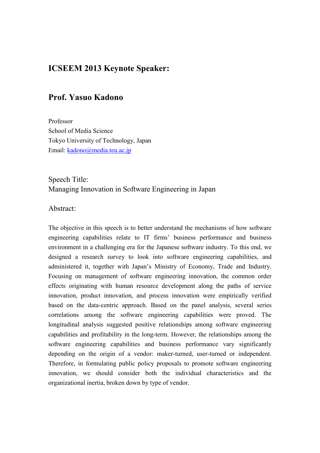# **ICSEEM 2013 Keynote Speaker:**

## **Prof. Yasuo Kadono**

Professor School of Media Science Tokyo University of Technology, Japan Email: kadono@media.teu.ac.jp

## Speech Title: Managing Innovation in Software Engineering in Japan

#### Abstract:

The objective in this speech is to better understand the mechanisms of how software engineering capabilities relate to IT firms' business performance and business environment in a challenging era for the Japanese software industry. To this end, we designed a research survey to look into software engineering capabilities, and administered it, together with Japan's Ministry of Economy, Trade and Industry. Focusing on management of software engineering innovation, the common order effects originating with human resource development along the paths of service innovation, product innovation, and process innovation were empirically verified based on the data-centric approach. Based on the panel analysis, several series correlations among the software engineering capabilities were proved. The longitudinal analysis suggested positive relationships among software engineering capabilities and profitability in the long-term. However, the relationships among the software engineering capabilities and business performance vary significantly depending on the origin of a vendor: maker-turned, user-turned or independent. Therefore, in formulating public policy proposals to promote software engineering innovation, we should consider both the individual characteristics and the organizational inertia, broken down by type of vendor.